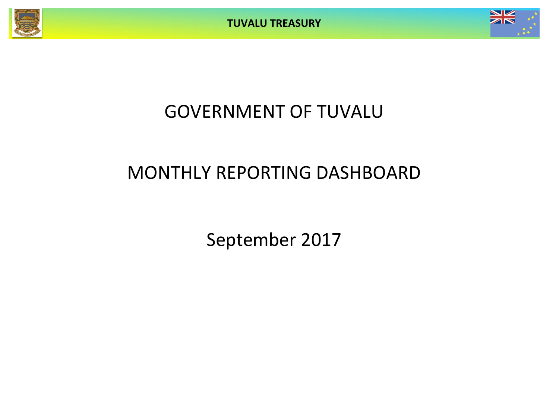**TUVALU TREASURY**



# GOVERNMENT OF TUVALU

# MONTHLY REPORTING DASHBOARD

September 2017

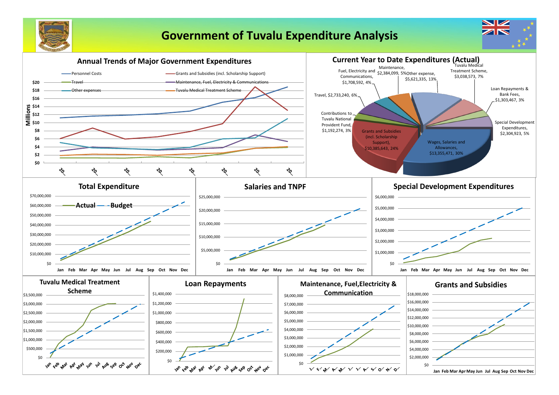

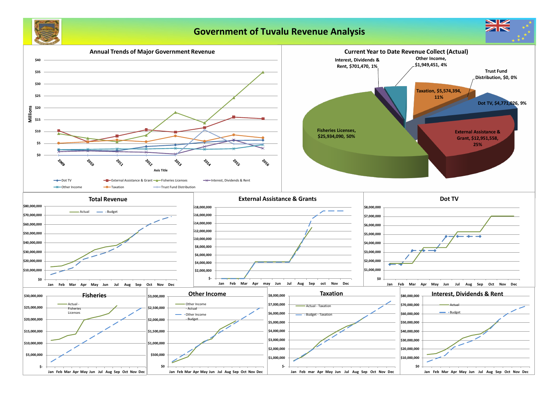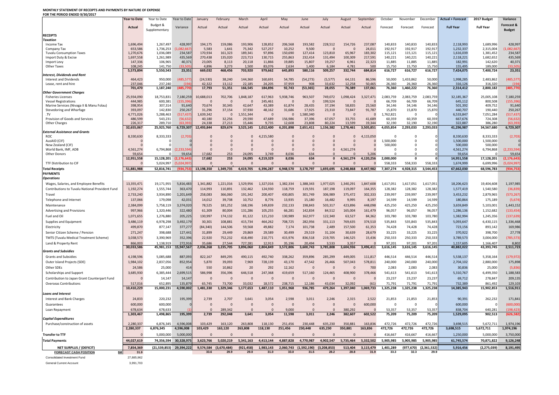### **MONTHLY STATEMENT OF RECEIPTS AND PAYMENTS BY NATURE OF EXPENSE FOR THE PERIOD ENDED 9/30/2017**

|                                                                      | <b>Year to Date</b>  | Year to Date         | Year to Date              | January          | February              | March             | April              | May               | June                                        | July             | August           | September          | October                     | November            | December                     | <b>Actual + Forecast</b> | 2017 Budget          | Variance                |
|----------------------------------------------------------------------|----------------------|----------------------|---------------------------|------------------|-----------------------|-------------------|--------------------|-------------------|---------------------------------------------|------------------|------------------|--------------------|-----------------------------|---------------------|------------------------------|--------------------------|----------------------|-------------------------|
|                                                                      | <b>Actual</b>        | Budget &             | Variance                  | Actual           | Actual                | Actual            | Actual             | Actual            | Actual                                      | Actual           | Actual           | Actual             | Forecast                    | Forecast            | Forecast                     | <b>Full Year</b>         | <b>Full Year</b>     | Forecast &              |
|                                                                      |                      | Supplementary        |                           |                  |                       |                   |                    |                   |                                             |                  |                  |                    |                             |                     |                              |                          |                      | <b>Budget</b>           |
| <b>RECEIPTS</b><br><b>Taxation</b>                                   |                      |                      |                           |                  |                       |                   |                    |                   |                                             |                  |                  |                    |                             |                     |                              |                          |                      |                         |
| Income Tax                                                           | 1,696,494            | 1,267,497            | 428,997                   | 194,175          | 159,086               | 193,906           | 128,852            | 206,568           | 193,582                                     | 228,512          | 154,726          | 237,087            | 140,833                     | 140,833             | 140,833                      | 2,118,993                | 1,689,996            | 428,997                 |
| Company Tax                                                          | 653,586              | 1,736,253            | ,082,667                  | 5,583            | 1,641                 | 75,342            | 527,257            | 10,252            | 9,500                                       | - 0              |                  | 24,011             | 192,917                     | 192,917             | 192,917                      | 1,232,337                | 2,315,004            | (1,082,667)             |
| <b>Tuvalu Consumption Taxes</b>                                      | 1,270,676            | 1,036,089            | 234,587                   | 170,934          | 161,323               | 189,341           | 97,896             | 150,690           | 127,414                                     | 123,810          | 65,967           | 183,302            | 115,121                     | 115,121             | 115,121                      | 1,616,039                | 1,381,452            | 234,587                 |
| Import Duty & Excise                                                 | 1,697,558<br>147,336 | 1,261,989            | 435,569<br>40,371         | 270,438          | 135,020<br>8,113      | 223,713           | 130,715<br>11,866  | 255,863<br>19,885 | 232,414<br>15,807                           | 131,494          | 100,309<br>6,961 | 217,591            | 140,221<br>11,885           | 140,221<br>11,885   | 140,221<br>11,885            | 2,118,221<br>182,991     | 1,682,652<br>142,620 | 435,569<br>40,371       |
| Import Levy<br><b>Other Taxes</b>                                    | 108,245              | 106,965<br>141,750   | (33, 505)                 | 23,005<br>4,896  | 3,273                 | 20,118<br>1,500   | 83,076             | 2,634             | 1,400                                       | 19,257<br>6,184  | 4,781            | 22,323<br>500      | 15,750                      | 15,750              | 15,750                       | 155,495                  | 189,000              | (33,505)                |
|                                                                      | 5,573,894            | 5,550,543            | 23,351                    | 669,032          | 468,456               | 703,920           | 979,662            | 645,893           | 580,116                                     | 509,257          | 332,744          | 684,814            | 616,727                     | 616,727             | 616,727                      | 7,424,075                | 7,400,724            | 23,351                  |
| <b>Interest, Dividends and Rent</b>                                  |                      |                      |                           |                  |                       |                   |                    |                   |                                             |                  |                  |                    |                             |                     |                              |                          |                      |                         |
| <b>Interest and Dividends</b>                                        | 464,423              | 950,000              | (485, 577)                | (24, 530)        | 38,240                | 144,360           | 160,691            | 54,785            | (54, 273)                                   | (5, 577)         | 64,131           | 86,596             | 50,000                      | 1,433,862           | 50,000                       | 1,998,285                | 2,483,862            | (485, 577)              |
| Lease, rent and hire                                                 | 237,046<br>701,470   | 237,240<br>1,187,240 | (194)<br>(485, 770)       | 42,322<br>17,793 | 13,112<br>51,351      | 22,185<br>166,545 | 24,205<br>184,896  | 37,959<br>92,743  | 908<br>(53, 365)                            | 33,632<br>28,055 | 12,258<br>76,389 | 50,465<br>137,061  | 26,360<br>76,360            | 26,360<br>1,460,222 | 26,360<br>76,360             | 316,126<br>2,314,412     | 316,320<br>2,800,182 | (194)<br>(485, 770)     |
| <b>Other Government Charges</b>                                      |                      |                      |                           |                  |                       |                   |                    |                   |                                             |                  |                  |                    |                             |                     |                              |                          |                      |                         |
| <b>Fisheries Licenses</b>                                            | 25,934,090           | 18,753,831           | 7,180,259                 | 10,688,013       | 702,706               | 1,848,187         | 617,963            | 5,938,746         | 963,507                                     | 749,072          | 1,098,424        | 3,327,471          | 2,083,759                   | 2,083,759           | 2,083,759                    | 32,185,367               | 25,005,108           | 7,180,259               |
| <b>Vessel Registrations</b>                                          | 444,985              | 600,381              | (155, 396)                | $\mathbf 0$      | - 0                   |                   | 245,461            | -0                | C                                           | 199,524          |                  |                    | 66,709                      | 66,709              | 66,709                       | 645,112                  | 800,508              | (155, 396)              |
| Marine Services (Nivaga II & Manu Folau)<br>Stevedoring and Wharfage | 398,954<br>393,097   | 307,314<br>142,830   | 91,640<br>250,267         | 70,674<br>31,296 | 30,345<br>37,154      | 42,647<br>37,930  | 43,389<br>48,162   | 61,874<br>31,686  | 28,435<br>17,925                            | 37,194<br>23,310 | 58,835<br>73,847 | 25,560<br>91,787   | 34,146<br>15,870            | 34,146<br>15,870    | 34,146<br>15,870             | 501,392<br>440,707       | 409,752<br>190,440   | 91,640<br>250,267       |
| .TV                                                                  | 4,771,026            | 5,288,463            | (517, 437)                | 1,639,342        | - 0                   | 1,551,344         | $\Omega$           | $\Omega$          | 1,580,340                                   | - 0              |                  |                    | 1,762,821                   | - 0                 |                              | 6,533,847                | 7,051,284            | (517, 437)              |
| Provision of Goods and Services                                      | 486,599              | 543,231              | (56, 632)                 | 40,180           | 32,256                | 29,590            | 47,689             | 156,986           | 37,396                                      | 67,057           | 33,755           | 41,689             | 60,359                      | 60,359              | 60,359                       | 667,676                  | 724,308              | (56, 632)               |
| <b>Other Charges</b>                                                 | 226,317              | 289,710              | (63, 393)                 | 24,338           | 27,213                | 15,446            | 9,735              | 12,608            | 23,808                                      | 80,224           | 13,599           | 19,344             | 32,190                      | 32,190              | 32,190                       | 322,887                  | 386,280              | (63, 393)               |
|                                                                      | 32,655,067           | 25,925,760           | 6,729,307                 | 12,493,844       | 829,674               | 3,525,145         | 1,012,400          | 6,201,898         | 2,651,411                                   | 1,156,382        | 1,278,461        | 3,505,851          | 4,055,854                   | 2,293,033           | 2,293,033                    | 41,296,987               | 34,567,680           | 6,729,307               |
| <b>External Assistance and Grants</b><br>ROC                         | 8,330,630            | 8,333,333            | (2,703)                   | 0                |                       |                   | 215,580            |                   | 0                                           |                  |                  | 4,115,050          |                             | 0                   |                              | 8,330,630                | 8,333,333            | (2,703)                 |
| AusAID (CIF)                                                         |                      |                      |                           |                  |                       |                   |                    |                   | $\mathbf 0$                                 |                  |                  |                    | 1,500,000                   |                     |                              | 1,500,000                | 1,500,000            |                         |
| New Zealand (CIF)                                                    |                      |                      |                           |                  |                       |                   |                    |                   |                                             |                  |                  |                    | 500,000                     |                     |                              | 500,000                  | 500,000              |                         |
| World Bank, IMF, ADB                                                 | 4,561,274            | 6,794,868            | (2, 233, 594)             | $\Omega$         | - 0                   |                   |                    |                   | $\overline{0}$                              |                  | 4,561,274        |                    |                             |                     |                              | 4,561,274                | 6,794,868            | (2, 233, 594)           |
| <b>Other Donors</b>                                                  | 59,654<br>12,951,558 | 15,128,201           | 59,654<br>(2, 176, 643)   | 17,682<br>17,682 | 253<br>253            | 24,095<br>24,095  | 3,749<br>4,219,329 | 8,036<br>8,036    | 634<br>634                                  |                  | 4,561,274        | 5,206<br>4,120,256 | 2,000,000                   | $\mathbf{0}$        |                              | 59,654<br>14,951,558     | 17,128,201           | 59,654<br>(2, 176, 643) |
| TTF Distribution to CIF                                              |                      | 5,024,997            | (5,024,997)               | $\Omega$         |                       |                   |                    | $\Omega$          | $\Omega$                                    |                  |                  |                    | 558,333                     | 558,333             | 558,333                      | 1,674,999                | 6,699,996            | (5,024,997)             |
| <b>Total Receipts</b>                                                | 51,881,988           | 52,816,741           | (934, 753)                | 13,198,350       | 1,349,735             | 4,419,705         | 6,396,287          | 6,948,570         | 3,178,797                                   | 1,693,695        | 6,248,868        | 8,447,982          | 7,307,274                   | 4,928,315           | 3,544,453                    | 67,662,030               | 68,596,783           | (934, 753)              |
| <b>PAYMENTS</b>                                                      |                      |                      |                           |                  |                       |                   |                    |                   |                                             |                  |                  |                    |                             |                     |                              |                          |                      |                         |
| <i><b>Operations</b></i>                                             |                      |                      |                           |                  |                       |                   |                    |                   |                                             |                  |                  |                    |                             |                     |                              |                          |                      |                         |
| Wages, Salaries, and Employee Benefits                               | 13,355,471           | 19,171,955           | 5,816,483                 | 1,341,882        | 1,221,016             | 1,529,956         | 1,327,016          | 1,382,334         | 1,388,343                                   | 1,977,025        | 1,340,291        | 1,847,608          | 1,617,051                   | 1,617,051           | 1,617,051                    | 18,206,623               | 19,404,608           | 1,197,985               |
| <b>Contributions to Tuvalu National Provident Fund</b>               | 1,192,274            | 1,555,744            | 363,470                   | 114,993          | 110,891               | 132,462           | 124,930            | 118,759           | 119,591                                     | 187,198          | 119,097          | 164,355            | 128,382                     | 128,382             | 128,382                      | 1,577,419                | 1,540,580            | (36, 839)               |
| Travel                                                               | 2,733,240            | 3,934,890            | 1,201,649                 | 258,083          | 366,060               | 191,342           | 200,407            | 430,805           | 301,749                                     | 306,989          | 375,472          | 302,333            | 239,997                     | 239,997             | 239,997                      | 3,453,232                | 2,879,965            | (573, 267)              |
| Telephone and Internet                                               | 137,066              | 179,098              | 42,031                    | 14,012           | 39,738                | 10,752            | 8,776              | 13,935            | 15,180                                      | 16,482           | 9,995            | 8,197              | 14,599                      | 14,599              | 14,599                       | 180,864                  | 175,189              | (5,674)                 |
| Maintenance                                                          | 2,384,099            | 5,758,119            | 3,374,020                 | 78,525           | 181,252               | 168,196           | 149,839            | 232,133           | 198,843                                     | 503,317          | 423,896          | 448,098            | 425,250                     | 425,250             | 425,250                      | 3,659,849                | 5,103,001            | 1,443,152               |
| <b>Advertising and Provisions</b>                                    | 997,966              | 1,320,446            | 322,480                   | 61,309           | 80,004                | 131,286           | 105,255            | 66,281            | 142,834                                     | 84,512           | 165,004          | 161,479            | 96,057                      | 96,057              | 96,057                       | 1,286,136                | 1,152,682            | (133, 454)              |
| Fuel and Oil                                                         | 1,071,655            | 1,276,880            | 205,225                   | 130,997          | 174,132               | 81,122            | 121,210            | 130,989           | 162,977                                     | 122,340          | 63,527           | 84,362             | 103,780                     | 103,780             | 103,780                      | 1,382,994                | 1,245,356            | (137, 639)              |
| Supplies and Equipment                                               | 3,486,119            | 6,978,298            | 3,492,179                 | 30,301           | 108,881               | 415,734           | 464,262            | 708,725           | 282,956                                     | 331,113          | 769,635          | 374,510            | 535,843                     | 535,843             | 535,843                      | 5,093,647                | 6,430,115            | 1,336,468               |
| Electricity                                                          | 499,870              | 877,147              | 377,277                   | (84, 340)        | 144,506               | 59,568            | 49,882             | 7,174             | 101,738                                     | 2,489            | 157,500          | 61,353             | 74,428                      | 74,428              | 74,428                       | 723,156                  | 893,142              | 169,986                 |
| Senior Citizen Scheme / Pension                                      | 271,247              | 398,688              | 127,441                   | 31,899           | 29,449                | 29,869            | 29,589             | 30,499            | 29,519                                      | 31,104           | 30,639           | 28,679             | 33,225                      | 33,225              | 33,225                       | 370,922                  | 398,700              | 27,778                  |
| <b>TMTS (Tuvalu Medical Treatment Scheme)</b>                        | 3,038,573            | 3,390,969            | 352,396                   | 22,920           | 752,232               | 418,490           | 210,771            | 415,976           | 836,518                                     | 219,705          | 146,525          | 15,436             | 250,333                     | 250,333             | 250,333                      | 3,789,573                | 3,004,000            | (785, 573)              |
| Land & Property Rent                                                 | 866,003              | 1,138,919            | 272,916                   | 35,686           | 27,544                | 727,281           | 12,913             | 35,196            | 20,494                                      | 3,533            | 3,357            |                    | 97,201                      | 97,201              | 97,201                       | 1,157,605                | 1,166,407            | 8,802                   |
|                                                                      | 30,033,586           | 45,981,153           | 15,947,567                | 2,036,268        | 3,235,705             | 3,896,060         | 2,804,849          | 3,572,806         | 3,600,743                                   | 3,785,808        | 3,604,936        | 3,496,411          | 3,616,145                   | 3,616,145           | 3,616,145                    | 40,882,022               | 43,393,745           | 2,511,723               |
| <b>Grants and Subsidies</b>                                          |                      |                      |                           |                  |                       |                   |                    |                   |                                             |                  |                  |                    |                             |                     |                              |                          |                      |                         |
| <b>Grants and Subsidies</b>                                          | 4,198,596            | 5,085,688            | 887,093                   | 822,167          | 849,295               | 490,115           | 492,740            | 338,262           | 359,896                                     | 285,299          | 449,005          | 111,817            | 446,514                     | 446,514             | 446,514                      | 5,538,137                | 5,358,164            | (179, 972)              |
| Outer Island Projects (SDE)                                          | 1,984,102            | 2,837,056            | 852,954                   | 5,870            | 39,093                | 7,969             | 728,139            | 43,170            | 47,542                                      | 26,466           | 507,043          | 578,811            | 240,000                     | 240,000             | 240,000                      | 2,704,102                | 2,880,000            | 175,898                 |
| Other SDEs                                                           | 24,586               | 25,000               | 414                       | 550              | 10,862                | 20                | 292                | 12,162            | C                                           |                  |                  | 700                | 2,083                       | 2,083               | 2,083                        | 30,836                   | 25,000               | (5,836)                 |
| Scholarships and Support                                             | 3,685,930            | 6,385,444            | 2,699,515                 | 586,998          | 356,396               | 646,518           | 247,368            | 419,659           | 517,160                                     | 124,465          | 408,900          | 378,466            | 541,613                     | 541,613             | 541,613                      | 5,310,767                | 6,499,350            | 1,188,583               |
| Contribution to Japan Grant Counterpart Fund                         |                      | 14,147               | 14,147                    | $\Omega$         | - 0                   |                   |                    |                   | $\Omega$                                    |                  |                  |                    | 23,237                      | 23,237              | 23,237                       | 69,712                   | 278,847              | 209,135                 |
| <b>Overseas Contributions</b>                                        | 517,016              | 652,895              | 135,879                   | 65.745           | 73,700                | 33,032            | 18,572             | 238,715           | 12,186                                      | 43.034           | 32,092           | (61)               | 71,791                      | 71,791              | 71,791                       | 732,389                  | 861,492              | 129,103                 |
|                                                                      | 10,410,229           | 15,000,231           | 4,590,002                 | 1,481,330        | 1,329,346             | 1,177,653         | 1,487,110          | 1,051,968         | 936,785                                     | 479,264          | 1,397,040        | 1,069,733          | 1,325,238                   | 1,325,238           | 1,325,238                    | 14,385,943               | 15,902,853           | 1,516,911               |
| Loans and Interest                                                   |                      |                      |                           |                  |                       |                   |                    |                   |                                             |                  |                  |                    |                             |                     |                              |                          |                      |                         |
| <b>Interest and Bank Charges</b>                                     | 24,833               | 220,232              | 195,399                   | 2,739            | 2,707                 | 3,641             | 3,054              | 2,598             | 3,011                                       | 2,246            | 2,315            | 2,522              | 21,853                      | 21,853              | 21,853                       | 90,391                   | 262,232              | 171,841                 |
| Guarantees                                                           | 600,000              | 600,000              |                           | $\mathbf 0$      | - 0                   |                   |                    | $\Omega$          | $\mathbf 0$                                 |                  |                  | 600,000            | $\Omega$                    | $\Omega$            |                              | 600,000                  | $\Omega$             | (600,000)               |
| Loan Repayment                                                       | 678,634              | 678,633              |                           |                  | 289,342               |                   |                    | 9,000             |                                             |                  | 380,292          |                    | 53,357                      | 53,357              | 53,357                       | 838,704                  | 640,281              | (198, 423)              |
| <b>Capital Expenditures</b>                                          | 1,303,467            | 1,498,865            | 195,399                   | 2,739            | 292,048               | 3,641             | 3,054              | 11,598            | 3,011                                       | 2,246            | 382,607          | 602,522            | 75,209                      | 75,209              | 75,209                       | 1,529,095                | 902,513              | (626, 582)              |
| Purchase/construction of assets                                      | 2,280,337            | 6,876,345            | 4,596,00                  | 103,429          | 163,120               | 263,808           | 118,130            | 251,456           | 230,448                                     | 635,230          | 350,881          | 163,836            | 472,726                     | 472,726             | 472,726                      | 3,698,515                | 5,672,711            | 1,974,196               |
|                                                                      | 2,280,337            | 6,876,345            | 4,596,008                 | 103,429          | 163,120               | 263,808           | 118,130            | 251,456           | 230,448                                     | 635,230          | 350,881          | 163,836            | 472,726                     | 472,726             | 472,726                      | 3,698,515                | 5,672,711            | 1,974,196               |
| <b>Transfer to TTF</b>                                               |                      | 5,000,000            | 5,000,00                  | $\Omega$         |                       |                   |                    |                   |                                             |                  |                  |                    | 416,667                     | 416,667             | 416,667                      | 1,250,000                | 5,000,000            |                         |
|                                                                      |                      |                      |                           |                  |                       |                   |                    |                   |                                             |                  |                  |                    |                             |                     |                              |                          |                      | 3,750,000               |
| <b>Total Payments</b>                                                | 44,027,619           | 74,356,594           | 30,328,97                 | 3,623,766        | 5,020,219             | 5,341,163         | 4,413,144          | 4,887,828         | 4,770,987                                   | 4,902,547        | 5,735,464        | 5,332,502          | 5,905,985                   | 5,905,985           | 5,905,985                    | 61,745,574               | 70,871,822           | 9,126,248               |
| <b>NET SURPLUS / (DEFICIT)</b>                                       | 7,854,369            |                      | $(21,539,853)$ 29,394,222 |                  | 9,574,584 (3,670,484) | (921, 458)        |                    |                   | 1,983,143 2,060,743 (1,592,190) (3,208,853) |                  |                  |                    | 513,404 3,115,479 1,401,289 |                     | $(977, 670)$ $(2, 361, 532)$ | 5,916,456                | (2, 275, 039)        | 8,191,495               |
| <b>FORECAST CASH POSITION</b><br>\$M                                 | 31.9                 |                      |                           | 33.6             | 29.9                  | 29.0              | 31.0               | 33.0              | 31.5                                        | 28.2             | 28.8             | 31.9               | 33.3                        | 32.3                | 29.9                         |                          |                      |                         |
| Consolidated Investment Fund                                         | 27,885,962           |                      |                           |                  |                       |                   |                    |                   |                                             |                  |                  |                    |                             |                     |                              |                          |                      |                         |
| <b>General Current Account</b>                                       | 3,991,703            |                      |                           |                  |                       |                   |                    |                   |                                             |                  |                  |                    |                             |                     |                              |                          |                      |                         |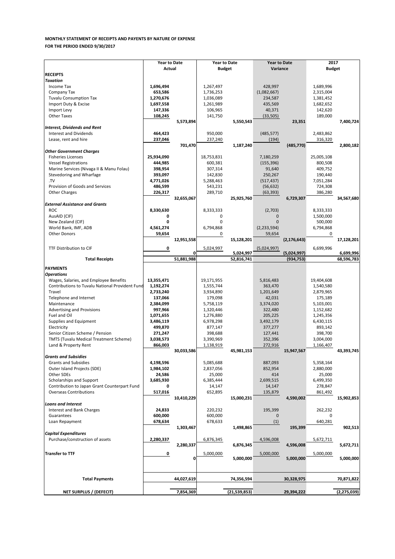|                                                        | <b>Year to Date</b>    |              | <b>Year to Date</b>    |              | <b>Year to Date</b>  |               | 2017                   |               |
|--------------------------------------------------------|------------------------|--------------|------------------------|--------------|----------------------|---------------|------------------------|---------------|
|                                                        | <b>Actual</b>          |              | <b>Budget</b>          |              | Variance             |               | <b>Budget</b>          |               |
| <b>RECEIPTS</b><br><b>Taxation</b>                     |                        |              |                        |              |                      |               |                        |               |
| Income Tax                                             | 1,696,494              |              | 1,267,497              |              | 428,997              |               | 1,689,996              |               |
| Company Tax                                            | 653,586                |              | 1,736,253              |              | (1,082,667)          |               | 2,315,004              |               |
| <b>Tuvalu Consumption Tax</b>                          | 1,270,676              |              | 1,036,089              |              | 234,587              |               | 1,381,452              |               |
| Import Duty & Excise                                   | 1,697,558              |              | 1,261,989              |              | 435,569              |               | 1,682,652              |               |
| Import Levy                                            | 147,336                |              | 106,965                |              | 40,371               |               | 142,620                |               |
| <b>Other Taxes</b>                                     | 108,245                |              | 141,750                |              | (33, 505)            |               | 189,000                |               |
|                                                        |                        | 5,573,894    |                        | 5,550,543    |                      | 23,351        |                        | 7,400,724     |
| Interest, Dividends and Rent                           |                        |              |                        |              |                      |               |                        |               |
| <b>Interest and Dividends</b>                          | 464,423                |              | 950,000                |              | (485, 577)           |               | 2,483,862              |               |
| Lease, rent and hire                                   | 237,046                |              | 237,240                |              | (194)                |               | 316,320                |               |
|                                                        |                        | 701,470      |                        | 1,187,240    |                      | (485, 770)    |                        | 2,800,182     |
| <b>Other Government Charges</b>                        |                        |              |                        |              |                      |               |                        |               |
| <b>Fisheries Licenses</b>                              | 25,934,090             |              | 18,753,831             |              | 7,180,259            |               | 25,005,108             |               |
| <b>Vessel Registrations</b>                            | 444,985                |              | 600,381                |              | (155, 396)           |               | 800,508                |               |
| Marine Services (Nivaga II & Manu Folau)               | 398,954                |              | 307,314                |              | 91,640               |               | 409,752                |               |
| Stevedoring and Wharfage                               | 393,097                |              | 142,830                |              | 250,267              |               | 190,440                |               |
| .TV                                                    | 4,771,026              |              | 5,288,463              |              | (517, 437)           |               | 7,051,284              |               |
| Provision of Goods and Services                        | 486,599                |              | 543,231                |              | (56, 632)            |               | 724,308                |               |
| Other Charges                                          | 226,317                |              | 289,710                |              | (63, 393)            |               | 386,280                |               |
| <b>External Assistance and Grants</b>                  |                        | 32,655,067   |                        | 25,925,760   |                      | 6,729,307     |                        | 34,567,680    |
| <b>ROC</b>                                             | 8,330,630              |              | 8,333,333              |              | (2,703)              |               | 8,333,333              |               |
| AusAID (CIF)                                           |                        |              | 0                      |              | 0                    |               | 1,500,000              |               |
| New Zealand (CIF)                                      |                        |              | 0                      |              | $\Omega$             |               | 500,000                |               |
| World Bank, IMF, ADB                                   | 4,561,274              |              | 6,794,868              |              | (2, 233, 594)        |               | 6,794,868              |               |
| <b>Other Donors</b>                                    | 59,654                 |              | 0                      |              | 59,654               |               | $\Omega$               |               |
|                                                        |                        | 12,951,558   |                        | 15,128,201   |                      | (2, 176, 643) |                        | 17,128,201    |
|                                                        |                        |              |                        |              |                      |               |                        |               |
| TTF Distribution to CIF                                | 0                      | $\mathbf{0}$ | 5,024,997              | 5,024,997    | (5,024,997)          | (5,024,997)   | 6,699,996              | 6,699,996     |
| <b>Total Receipts</b>                                  |                        | 51,881,988   |                        | 52,816,741   |                      | (934, 753)    |                        | 68,596,783    |
|                                                        |                        |              |                        |              |                      |               |                        |               |
| <b>IPAYMENTS</b>                                       |                        |              |                        |              |                      |               |                        |               |
| <b>Operations</b>                                      |                        |              |                        |              |                      |               |                        |               |
| Wages, Salaries, and Employee Benefits                 | 13,355,471             |              | 19,171,955             |              | 5,816,483            |               | 19,404,608             |               |
| <b>Contributions to Tuvalu National Provident Fund</b> | 1,192,274              |              | 1,555,744              |              | 363,470              |               | 1,540,580              |               |
| Travel                                                 | 2,733,240              |              | 3,934,890              |              | 1,201,649            |               | 2,879,965              |               |
| Telephone and Internet                                 | 137,066                |              | 179,098                |              | 42,031               |               | 175,189                |               |
| Maintenance                                            | 2,384,099              |              | 5,758,119              |              | 3,374,020            |               | 5,103,001              |               |
| <b>Advertising and Provisions</b><br>Fuel and Oil      | 997,966                |              | 1,320,446              |              | 322,480              |               | 1,152,682              |               |
| Supplies and Equipment                                 | 1,071,655<br>3,486,119 |              | 1,276,880<br>6,978,298 |              | 205,225<br>3,492,179 |               | 1,245,356<br>6,430,115 |               |
| Electricity                                            | 499,870                |              | 877,147                |              | 377,277              |               | 893,142                |               |
| Senior Citizen Scheme / Pension                        | 271,247                |              | 398,688                |              | 127,441              |               | 398,700                |               |
| <b>TMTS (Tuvalu Medical Treatment Scheme)</b>          | 3,038,573              |              | 3,390,969              |              | 352,396              |               | 3,004,000              |               |
| Land & Property Rent                                   | 866,003                |              | 1,138,919              |              | 272,916              |               | 1,166,407              |               |
|                                                        |                        | 30,033,586   |                        | 45,981,153   |                      | 15,947,567    |                        | 43,393,745    |
| <b>Grants and Subsidies</b>                            |                        |              |                        |              |                      |               |                        |               |
| <b>Grants and Subsidies</b>                            | 4,198,596              |              | 5,085,688              |              | 887,093              |               | 5,358,164              |               |
| Outer Island Projects (SDE)                            | 1,984,102              |              | 2,837,056              |              | 852,954              |               | 2,880,000              |               |
| Other SDEs                                             | 24,586                 |              | 25,000                 |              | 414                  |               | 25,000                 |               |
| Scholarships and Support                               | 3,685,930              |              | 6,385,444              |              | 2,699,515            |               | 6,499,350              |               |
| Contribution to Japan Grant Counterpart Fund           | ŋ                      |              | 14,147                 |              | 14,147               |               | 278,847                |               |
| <b>Overseas Contributions</b>                          | 517,016                |              | 652,895                |              | 135,879              |               | 861,492                |               |
|                                                        |                        | 10,410,229   |                        | 15,000,231   |                      | 4,590,002     |                        | 15,902,853    |
| <b>Loans and Interest</b>                              |                        |              |                        |              |                      |               |                        |               |
| Interest and Bank Charges                              | 24,833                 |              | 220,232                |              | 195,399              |               | 262,232                |               |
| Guarantees                                             | 600,000                |              | 600,000                |              | $\mathbf 0$          |               | $\Omega$               |               |
| Loan Repayment                                         | 678,634                |              | 678,633                |              | (1)                  |               | 640,281                |               |
| <b>Capital Expenditures</b>                            |                        | 1,303,467    |                        | 1,498,865    |                      | 195,399       |                        | 902,513       |
| Purchase/construction of assets                        | 2,280,337              |              | 6,876,345              |              | 4,596,008            |               | 5,672,711              |               |
|                                                        |                        | 2,280,337    |                        | 6,876,345    |                      | 4,596,008     |                        | 5,672,711     |
|                                                        |                        |              |                        |              |                      |               |                        |               |
| <b>Transfer to TTF</b>                                 | 0                      | 0            | 5,000,000              | 5,000,000    | 5,000,000            | 5,000,000     | 5,000,000              | 5,000,000     |
|                                                        |                        |              |                        |              |                      |               |                        |               |
|                                                        |                        |              |                        |              |                      |               |                        |               |
|                                                        |                        |              |                        |              |                      |               |                        |               |
| <b>Total Payments</b>                                  |                        | 44,027,619   |                        | 74,356,594   |                      | 30,328,975    |                        | 70,871,822    |
|                                                        |                        |              |                        |              |                      |               |                        |               |
| <b>NET SURPLUS / (DEFECIT)</b>                         |                        | 7,854,369    |                        | (21,539,853) |                      | 29,394,222    |                        | (2, 275, 039) |

## **MONTHLY STATEMENT OF RECEIPTS AND PAYENTS BY NATURE OF EXPENSE FOR THE PERIOD ENDED 9/30/2017**